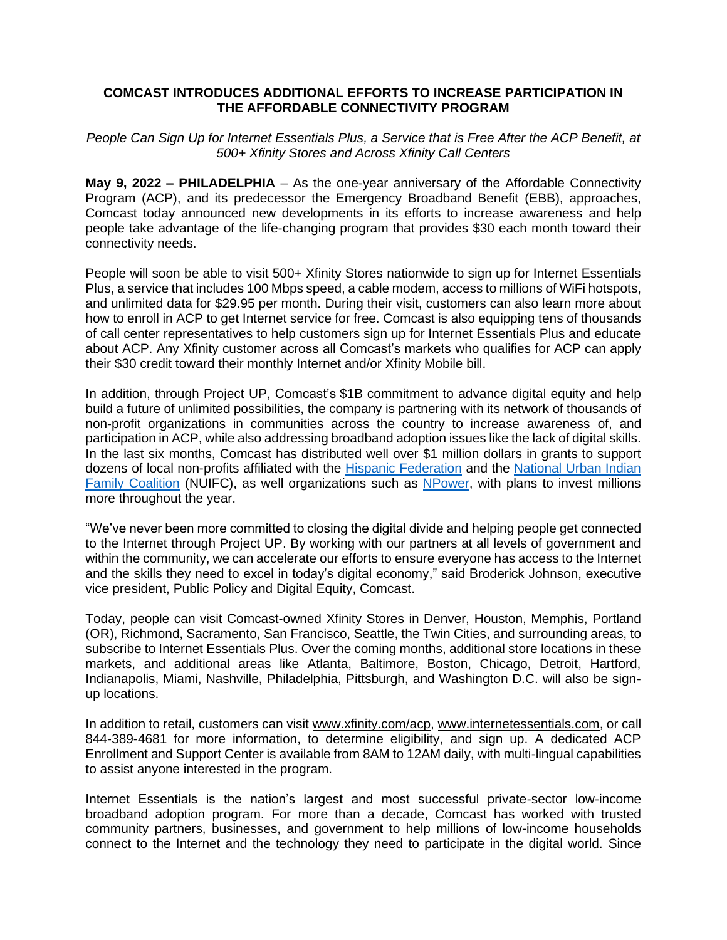## **COMCAST INTRODUCES ADDITIONAL EFFORTS TO INCREASE PARTICIPATION IN THE AFFORDABLE CONNECTIVITY PROGRAM**

*People Can Sign Up for Internet Essentials Plus, a Service that is Free After the ACP Benefit, at 500+ Xfinity Stores and Across Xfinity Call Centers*

**May 9, 2022 – PHILADELPHIA** – As the one-year anniversary of the Affordable Connectivity Program (ACP), and its predecessor the Emergency Broadband Benefit (EBB), approaches, Comcast today announced new developments in its efforts to increase awareness and help people take advantage of the life-changing program that provides \$30 each month toward their connectivity needs.

People will soon be able to visit 500+ Xfinity Stores nationwide to sign up for Internet Essentials Plus, a service that includes 100 Mbps speed, a cable modem, access to millions of WiFi hotspots, and unlimited data for \$29.95 per month. During their visit, customers can also learn more about how to enroll in ACP to get Internet service for free. Comcast is also equipping tens of thousands of call center representatives to help customers sign up for Internet Essentials Plus and educate about ACP. Any Xfinity customer across all Comcast's markets who qualifies for ACP can apply their \$30 credit toward their monthly Internet and/or Xfinity Mobile bill.

In addition, through Project UP, Comcast's \$1B commitment to advance digital equity and help build a future of unlimited possibilities, the company is partnering with its network of thousands of non-profit organizations in communities across the country to increase awareness of, and participation in ACP, while also addressing broadband adoption issues like the lack of digital skills. In the last six months, Comcast has distributed well over \$1 million dollars in grants to support dozens of local non-profits affiliated with the [Hispanic Federation](https://corporate.comcast.com/press/releases/hispanic-federation-comcast-nbcuniversal-partnership-digital-equity-latino-communities) and the National Urban Indian [Family Coalition](https://www.nuifc.org/news/nuifc-launches-weaving-our-web-digital-equity-fund) (NUIFC), as well organizations such as [NPower,](https://www.npower.org/) with plans to invest millions more throughout the year.

"We've never been more committed to closing the digital divide and helping people get connected to the Internet through Project UP. By working with our partners at all levels of government and within the community, we can accelerate our efforts to ensure everyone has access to the Internet and the skills they need to excel in today's digital economy," said Broderick Johnson, executive vice president, Public Policy and Digital Equity, Comcast.

Today, people can visit Comcast-owned Xfinity Stores in Denver, Houston, Memphis, Portland (OR), Richmond, Sacramento, San Francisco, Seattle, the Twin Cities, and surrounding areas, to subscribe to Internet Essentials Plus. Over the coming months, additional store locations in these markets, and additional areas like Atlanta, Baltimore, Boston, Chicago, Detroit, Hartford, Indianapolis, Miami, Nashville, Philadelphia, Pittsburgh, and Washington D.C. will also be signup locations.

In addition to retail, customers can visit [www.xfinity.com/acp,](http://www.xfinity.com/acp) [www.internetessentials.com,](http://www.internetessentials.com/) or call 844-389-4681 for more information, to determine eligibility, and sign up. A dedicated ACP Enrollment and Support Center is available from 8AM to 12AM daily, with multi-lingual capabilities to assist anyone interested in the program.

Internet Essentials is the nation's largest and most successful private-sector low-income broadband adoption program. For more than a decade, Comcast has worked with trusted community partners, businesses, and government to help millions of low-income households connect to the Internet and the technology they need to participate in the digital world. Since